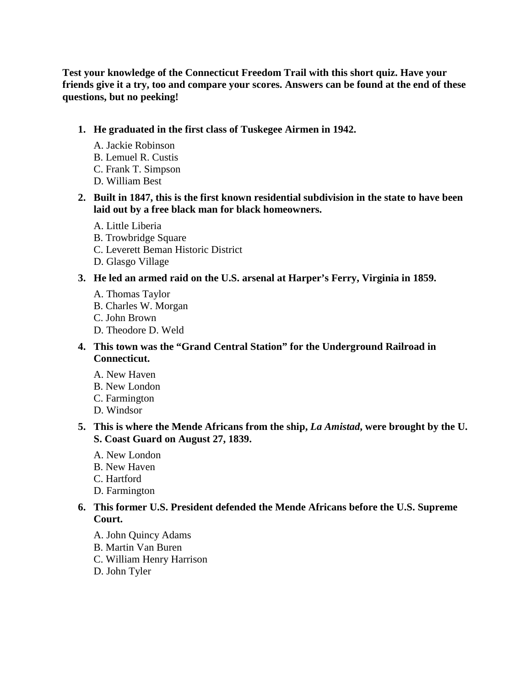**Test your knowledge of the Connecticut Freedom Trail with this short quiz. Have your friends give it a try, too and compare your scores. Answers can be found at the end of these questions, but no peeking!** 

#### **1. He graduated in the first class of Tuskegee Airmen in 1942.**

- A. Jackie Robinson
- B. Lemuel R. Custis
- C. Frank T. Simpson
- D. William Best
- **2. Built in 1847, this is the first known residential subdivision in the state to have been laid out by a free black man for black homeowners.** 
	- A. Little Liberia
	- B. Trowbridge Square
	- C. Leverett Beman Historic District
	- D. Glasgo Village
- **3. He led an armed raid on the U.S. arsenal at Harper's Ferry, Virginia in 1859.** 
	- A. Thomas Taylor
	- B. Charles W. Morgan
	- C. John Brown
	- D. Theodore D. Weld
- **4. This town was the "Grand Central Station" for the Underground Railroad in Connecticut.** 
	- A. New Haven
	- B. New London
	- C. Farmington
	- D. Windsor

# **5. This is where the Mende Africans from the ship,** *La Amistad***, were brought by the U. S. Coast Guard on August 27, 1839.**

- A. New London
- B. New Haven
- C. Hartford
- D. Farmington

# **6. This former U.S. President defended the Mende Africans before the U.S. Supreme Court.**

- A. John Quincy Adams
- B. Martin Van Buren
- C. William Henry Harrison
- D. John Tyler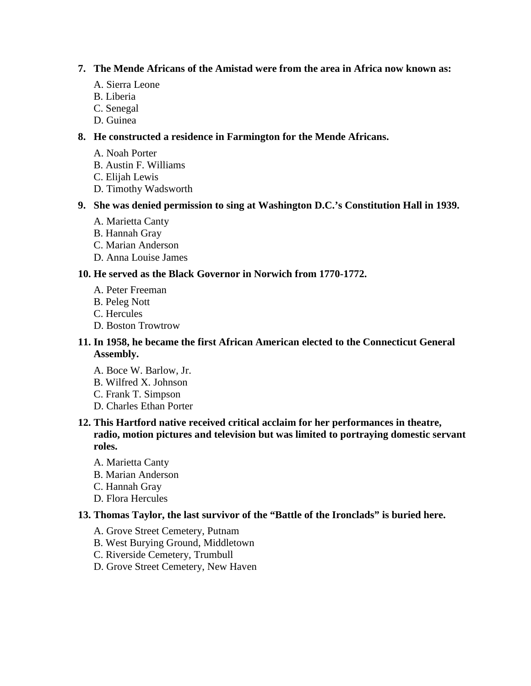## **7. The Mende Africans of the Amistad were from the area in Africa now known as:**

- A. Sierra Leone
- B. Liberia
- C. Senegal
- D. Guinea

# **8. He constructed a residence in Farmington for the Mende Africans.**

- A. Noah Porter
- B. Austin F. Williams
- C. Elijah Lewis
- D. Timothy Wadsworth

# **9. She was denied permission to sing at Washington D.C.'s Constitution Hall in 1939.**

- A. Marietta Canty
- B. Hannah Gray
- C. Marian Anderson
- D. Anna Louise James

# **10. He served as the Black Governor in Norwich from 1770-1772.**

- A. Peter Freeman
- B. Peleg Nott
- C. Hercules
- D. Boston Trowtrow

# **11. In 1958, he became the first African American elected to the Connecticut General Assembly.**

- A. Boce W. Barlow, Jr.
- B. Wilfred X. Johnson
- C. Frank T. Simpson
- D. Charles Ethan Porter

# **12. This Hartford native received critical acclaim for her performances in theatre, radio, motion pictures and television but was limited to portraying domestic servant roles.**

- A. Marietta Canty
- B. Marian Anderson
- C. Hannah Gray
- D. Flora Hercules

# **13. Thomas Taylor, the last survivor of the "Battle of the Ironclads" is buried here.**

- A. Grove Street Cemetery, Putnam
- B. West Burying Ground, Middletown
- C. Riverside Cemetery, Trumbull
- D. Grove Street Cemetery, New Haven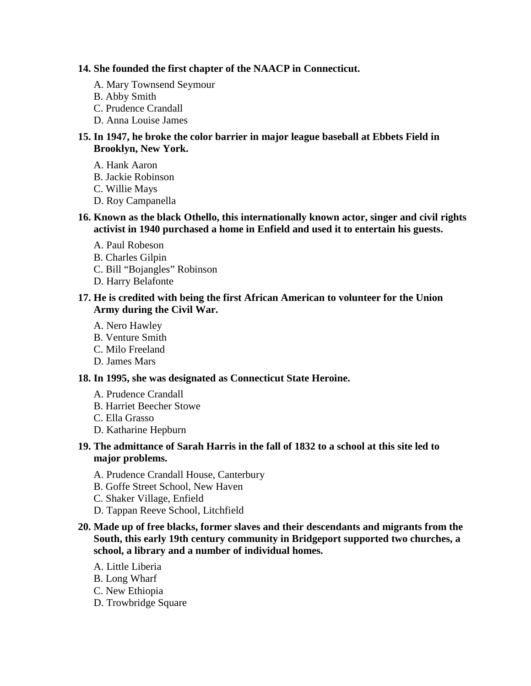### **14. She founded the first chapter of the NAACP in Connecticut.**

- A. Mary Townsend Seymour
- B. Abby Smith
- C. Prudence Crandall
- D. Anna Louise James

# **15. In 1947, he broke the color barrier in major league baseball at Ebbets Field in Brooklyn, New York.**

- A. Hank Aaron
- B. Jackie Robinson
- C. Willie Mays
- D. Roy Campanella

# **16. Known as the black Othello, this internationally known actor, singer and civil rights activist in 1940 purchased a home in Enfield and used it to entertain his guests.**

- A. Paul Robeson
- B. Charles Gilpin
- C. Bill "Bojangles" Robinson
- D. Harry Belafonte

### **17. He is credited with being the first African American to volunteer for the Union Army during the Civil War.**

- A. Nero Hawley
- B. Venture Smith
- C. Milo Freeland
- D. James Mars

#### **18. In 1995, she was designated as Connecticut State Heroine.**

- A. Prudence Crandall
- B. Harriet Beecher Stowe
- C. Ella Grasso
- D. Katharine Hepburn

# **19. The admittance of Sarah Harris in the fall of 1832 to a school at this site led to major problems.**

- A. Prudence Crandall House, Canterbury
- B. Goffe Street School, New Haven
- C. Shaker Village, Enfield
- D. Tappan Reeve School, Litchfield
- **20. Made up of free blacks, former slaves and their descendants and migrants from the South, this early 19th century community in Bridgeport supported two churches, a school, a library and a number of individual homes.**
	- A. Little Liberia
	- B. Long Wharf
	- C. New Ethiopia
	- D. Trowbridge Square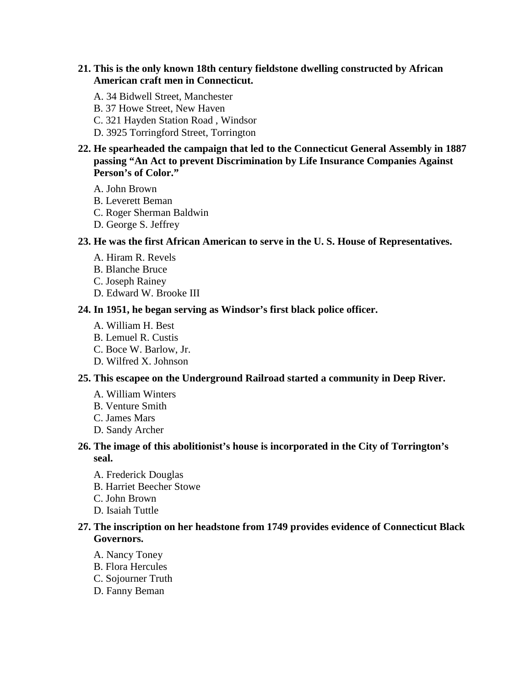### **21. This is the only known 18th century fieldstone dwelling constructed by African American craft men in Connecticut.**

- A. 34 Bidwell Street, Manchester
- B. 37 Howe Street, New Haven
- C. 321 Hayden Station Road , Windsor
- D. 3925 Torringford Street, Torrington
- **22. He spearheaded the campaign that led to the Connecticut General Assembly in 1887 passing "An Act to prevent Discrimination by Life Insurance Companies Against Person's of Color."** 
	- A. John Brown
	- B. Leverett Beman
	- C. Roger Sherman Baldwin
	- D. George S. Jeffrey

#### **23. He was the first African American to serve in the U. S. House of Representatives.**

- A. Hiram R. Revels
- B. Blanche Bruce
- C. Joseph Rainey
- D. Edward W. Brooke III

#### **24. In 1951, he began serving as Windsor's first black police officer.**

- A. William H. Best
- B. Lemuel R. Custis
- C. Boce W. Barlow, Jr.
- D. Wilfred X. Johnson

#### **25. This escapee on the Underground Railroad started a community in Deep River.**

- A. William Winters
- B. Venture Smith
- C. James Mars
- D. Sandy Archer

# **26. The image of this abolitionist's house is incorporated in the City of Torrington's seal.**

- A. Frederick Douglas
- B. Harriet Beecher Stowe
- C. John Brown
- D. Isaiah Tuttle

# **27. The inscription on her headstone from 1749 provides evidence of Connecticut Black Governors.**

- A. Nancy Toney
- B. Flora Hercules
- C. Sojourner Truth
- D. Fanny Beman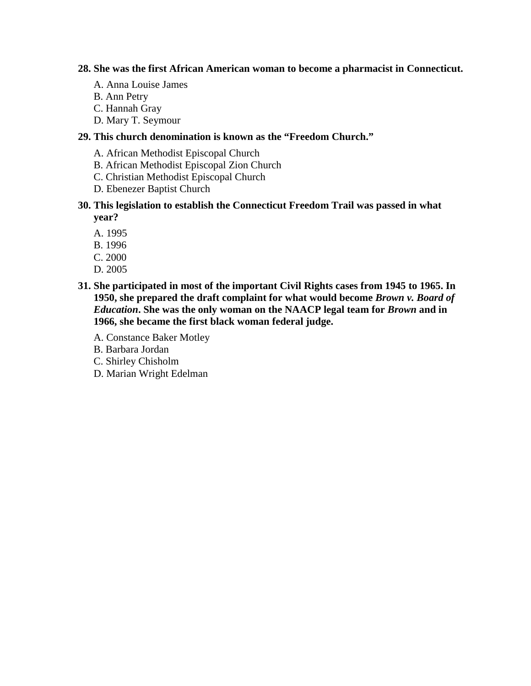### **28. She was the first African American woman to become a pharmacist in Connecticut.**

- A. Anna Louise James
- B. Ann Petry
- C. Hannah Gray
- D. Mary T. Seymour

# **29. This church denomination is known as the "Freedom Church."**

- A. African Methodist Episcopal Church
- B. African Methodist Episcopal Zion Church
- C. Christian Methodist Episcopal Church
- D. Ebenezer Baptist Church
- **30. This legislation to establish the Connecticut Freedom Trail was passed in what year?** 
	- A. 1995
	- B. 1996
	- C. 2000
	- D. 2005
- **31. She participated in most of the important Civil Rights cases from 1945 to 1965. In 1950, she prepared the draft complaint for what would become** *Brown v. Board of Education***. She was the only woman on the NAACP legal team for** *Brown* **and in 1966, she became the first black woman federal judge.** 
	- A. Constance Baker Motley
	- B. Barbara Jordan
	- C. Shirley Chisholm
	- D. Marian Wright Edelman